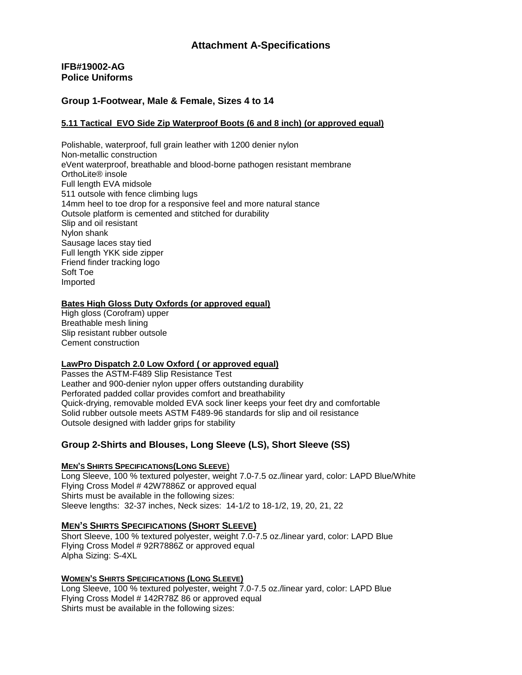# **IFB#19002-AG Police Uniforms**

# **Group 1-Footwear, Male & Female, Sizes 4 to 14**

## **5.11 Tactical EVO Side Zip Waterproof Boots (6 and 8 inch) (or approved equal)**

Polishable, waterproof, full grain leather with 1200 denier nylon Non-metallic construction eVent waterproof, breathable and blood-borne pathogen resistant membrane OrthoLite® insole Full length EVA midsole 511 outsole with fence climbing lugs 14mm heel to toe drop for a responsive feel and more natural stance Outsole platform is cemented and stitched for durability Slip and oil resistant Nylon shank Sausage laces stay tied Full length YKK side zipper Friend finder tracking logo Soft Toe Imported

## **Bates High Gloss Duty Oxfords (or approved equal)**

High gloss (Corofram) upper Breathable mesh lining Slip resistant rubber outsole Cement construction

## **LawPro Dispatch 2.0 Low Oxford ( or approved equal)**

Passes the ASTM-F489 Slip Resistance Test Leather and 900-denier nylon upper offers outstanding durability Perforated padded collar provides comfort and breathability Quick-drying, removable molded EVA sock liner keeps your feet dry and comfortable Solid rubber outsole meets ASTM F489-96 standards for slip and oil resistance Outsole designed with ladder grips for stability

# **Group 2-Shirts and Blouses, Long Sleeve (LS), Short Sleeve (SS)**

# **MEN'S SHIRTS SPECIFICATIONS(LONG SLEEVE**)

Long Sleeve, 100 % textured polyester, weight 7.0-7.5 oz./linear yard, color: LAPD Blue/White Flying Cross Model # 42W7886Z or approved equal Shirts must be available in the following sizes: Sleeve lengths: 32-37 inches, Neck sizes: 14-1/2 to 18-1/2, 19, 20, 21, 22

## **MEN'S SHIRTS SPECIFICATIONS (SHORT SLEEVE)**

Short Sleeve, 100 % textured polyester, weight 7.0-7.5 oz./linear yard, color: LAPD Blue Flying Cross Model # 92R7886Z or approved equal Alpha Sizing: S-4XL

# **WOMEN'S SHIRTS SPECIFICATIONS (LONG SLEEVE)**

Long Sleeve, 100 % textured polyester, weight 7.0-7.5 oz./linear yard, color: LAPD Blue Flying Cross Model # 142R78Z 86 or approved equal Shirts must be available in the following sizes: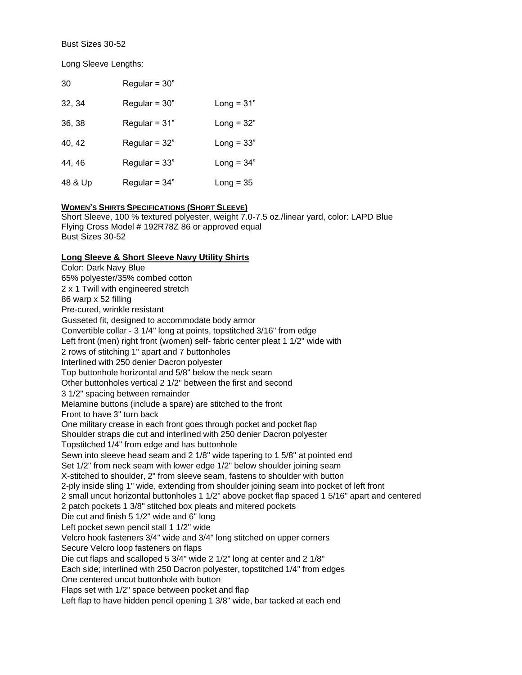Bust Sizes 30-52

Long Sleeve Lengths:

| 30      | Regular = $30"$ |              |
|---------|-----------------|--------------|
| 32, 34  | Regular = $30"$ | Long = $31"$ |
| 36, 38  | Regular = $31"$ | Long = $32"$ |
| 40, 42  | Regular = $32"$ | Long = $33"$ |
| 44, 46  | Regular = $33"$ | Long = $34"$ |
| 48 & Up | Regular = $34"$ | $Long = 35$  |

## **WOMEN'S SHIRTS SPECIFICATIONS (SHORT SLEEVE)**

Short Sleeve, 100 % textured polyester, weight 7.0-7.5 oz./linear yard, color: LAPD Blue Flying Cross Model # 192R78Z 86 or approved equal Bust Sizes 30-52

## **Long Sleeve & Short Sleeve Navy Utility Shirts**

Color: Dark Navy Blue 65% polyester/35% combed cotton 2 x 1 Twill with engineered stretch 86 warp x 52 filling Pre-cured, wrinkle resistant Gusseted fit, designed to accommodate body armor Convertible collar - 3 1/4" long at points, topstitched 3/16" from edge Left front (men) right front (women) self-fabric center pleat 1 1/2" wide with 2 rows of stitching 1" apart and 7 buttonholes Interlined with 250 denier Dacron polyester Top buttonhole horizontal and 5/8" below the neck seam Other buttonholes vertical 2 1/2" between the first and second 3 1/2" spacing between remainder Melamine buttons (include a spare) are stitched to the front Front to have 3" turn back One military crease in each front goes through pocket and pocket flap Shoulder straps die cut and interlined with 250 denier Dacron polyester Topstitched 1/4" from edge and has buttonhole Sewn into sleeve head seam and 2 1/8" wide tapering to 1 5/8" at pointed end Set 1/2" from neck seam with lower edge 1/2" below shoulder joining seam X-stitched to shoulder, 2" from sleeve seam, fastens to shoulder with button 2-ply inside sling 1" wide, extending from shoulder joining seam into pocket of left front 2 small uncut horizontal buttonholes 1 1/2" above pocket flap spaced 1 5/16" apart and centered 2 patch pockets 1 3/8" stitched box pleats and mitered pockets Die cut and finish 5 1/2" wide and 6" long Left pocket sewn pencil stall 1 1/2" wide Velcro hook fasteners 3/4" wide and 3/4" long stitched on upper corners Secure Velcro loop fasteners on flaps Die cut flaps and scalloped 5 3/4" wide 2 1/2" long at center and 2 1/8" Each side; interlined with 250 Dacron polyester, topstitched 1/4" from edges One centered uncut buttonhole with button Flaps set with 1/2" space between pocket and flap Left flap to have hidden pencil opening 1 3/8" wide, bar tacked at each end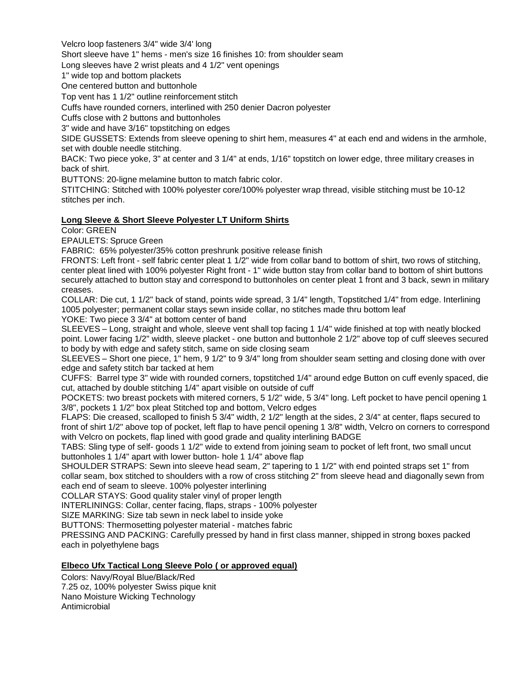Velcro loop fasteners 3/4" wide 3/4' long

Short sleeve have 1" hems - men's size 16 finishes 10: from shoulder seam

Long sleeves have 2 wrist pleats and 4 1/2" vent openings

1" wide top and bottom plackets

One centered button and buttonhole

Top vent has 1 1/2" outline reinforcement stitch

Cuffs have rounded corners, interlined with 250 denier Dacron polyester

Cuffs close with 2 buttons and buttonholes

3" wide and have 3/16" topstitching on edges

SIDE GUSSETS: Extends from sleeve opening to shirt hem, measures 4" at each end and widens in the armhole, set with double needle stitching.

BACK: Two piece yoke, 3" at center and 3 1/4" at ends, 1/16" topstitch on lower edge, three military creases in back of shirt.

BUTTONS: 20-ligne melamine button to match fabric color.

STITCHING: Stitched with 100% polyester core/100% polyester wrap thread, visible stitching must be 10-12 stitches per inch.

## **Long Sleeve & Short Sleeve Polyester LT Uniform Shirts**

Color: GREEN

EPAULETS: Spruce Green

FABRIC: 65% polyester/35% cotton preshrunk positive release finish

FRONTS: Left front - self fabric center pleat 1 1/2" wide from collar band to bottom of shirt, two rows of stitching, center pleat lined with 100% polyester Right front - 1" wide button stay from collar band to bottom of shirt buttons securely attached to button stay and correspond to buttonholes on center pleat 1 front and 3 back, sewn in military creases.

COLLAR: Die cut, 1 1/2" back of stand, points wide spread, 3 1/4" length, Topstitched 1/4" from edge. Interlining 1005 polyester; permanent collar stays sewn inside collar, no stitches made thru bottom leaf

YOKE: Two piece 3 3/4" at bottom center of band

SLEEVES – Long, straight and whole, sleeve vent shall top facing 1 1/4" wide finished at top with neatly blocked point. Lower facing 1/2" width, sleeve placket - one button and buttonhole 2 1/2" above top of cuff sleeves secured to body by with edge and safety stitch, same on side closing seam

SLEEVES – Short one piece, 1" hem, 9 1/2" to 9 3/4" long from shoulder seam setting and closing done with over edge and safety stitch bar tacked at hem

CUFFS: Barrel type 3" wide with rounded corners, topstitched 1/4" around edge Button on cuff evenly spaced, die cut, attached by double stitching 1/4" apart visible on outside of cuff

POCKETS: two breast pockets with mitered corners, 5 1/2" wide, 5 3/4" long. Left pocket to have pencil opening 1 3/8", pockets 1 1/2" box pleat Stitched top and bottom, Velcro edges

FLAPS: Die creased, scalloped to finish 5 3/4" width, 2 1/2" length at the sides, 2 3/4" at center, flaps secured to front of shirt 1/2" above top of pocket, left flap to have pencil opening 1 3/8" width, Velcro on corners to correspond with Velcro on pockets, flap lined with good grade and quality interlining BADGE

TABS: Sling type of self- goods 1 1/2" wide to extend from joining seam to pocket of left front, two small uncut buttonholes 1 1/4" apart with lower button- hole 1 1/4" above flap

SHOULDER STRAPS: Sewn into sleeve head seam, 2" tapering to 1 1/2" with end pointed straps set 1" from collar seam, box stitched to shoulders with a row of cross stitching 2" from sleeve head and diagonally sewn from each end of seam to sleeve. 100% polyester interlining

COLLAR STAYS: Good quality staler vinyl of proper length

INTERLININGS: Collar, center facing, flaps, straps - 100% polyester

SIZE MARKING: Size tab sewn in neck label to inside yoke

BUTTONS: Thermosetting polyester material - matches fabric

PRESSING AND PACKING: Carefully pressed by hand in first class manner, shipped in strong boxes packed each in polyethylene bags

# **Elbeco Ufx Tactical Long Sleeve Polo ( or approved equal)**

Colors: Navy/Royal Blue/Black/Red 7.25 oz, 100% polyester Swiss pique knit Nano Moisture Wicking Technology Antimicrobial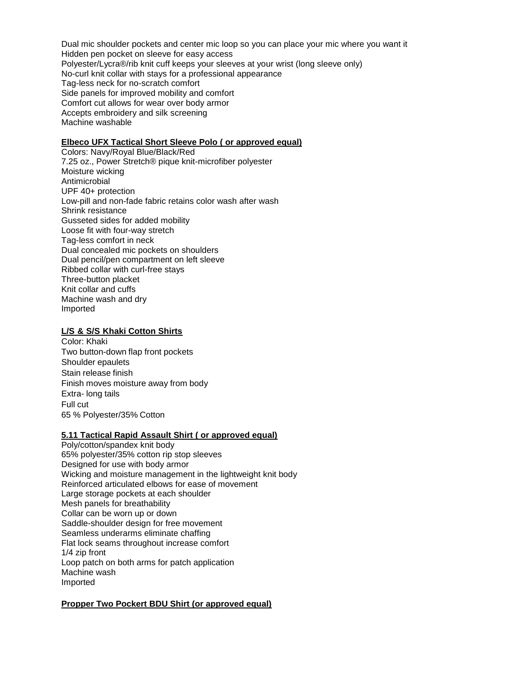Dual mic shoulder pockets and center mic loop so you can place your mic where you want it Hidden pen pocket on sleeve for easy access Polyester/Lycra®/rib knit cuff keeps your sleeves at your wrist (long sleeve only) No-curl knit collar with stays for a professional appearance Tag-less neck for no-scratch comfort Side panels for improved mobility and comfort Comfort cut allows for wear over body armor Accepts embroidery and silk screening Machine washable

### **Elbeco UFX Tactical Short Sleeve Polo ( or approved equal)**

Colors: Navy/Royal Blue/Black/Red 7.25 oz., Power Stretch® pique knit-microfiber polyester Moisture wicking Antimicrobial UPF 40+ protection Low-pill and non-fade fabric retains color wash after wash Shrink resistance Gusseted sides for added mobility Loose fit with four-way stretch Tag-less comfort in neck Dual concealed mic pockets on shoulders Dual pencil/pen compartment on left sleeve Ribbed collar with curl-free stays Three-button placket Knit collar and cuffs Machine wash and dry Imported

#### **L/S & S/S Khaki Cotton Shirts**

Color: Khaki Two button-down flap front pockets Shoulder epaulets Stain release finish Finish moves moisture away from body Extra- long tails Full cut 65 % Polyester/35% Cotton

## **5.11 Tactical Rapid Assault Shirt ( or approved equal)**

Poly/cotton/spandex knit body 65% polyester/35% cotton rip stop sleeves Designed for use with body armor Wicking and moisture management in the lightweight knit body Reinforced articulated elbows for ease of movement Large storage pockets at each shoulder Mesh panels for breathability Collar can be worn up or down Saddle-shoulder design for free movement Seamless underarms eliminate chaffing Flat lock seams throughout increase comfort 1/4 zip front Loop patch on both arms for patch application Machine wash Imported

## **Propper Two Pockert BDU Shirt (or approved equal)**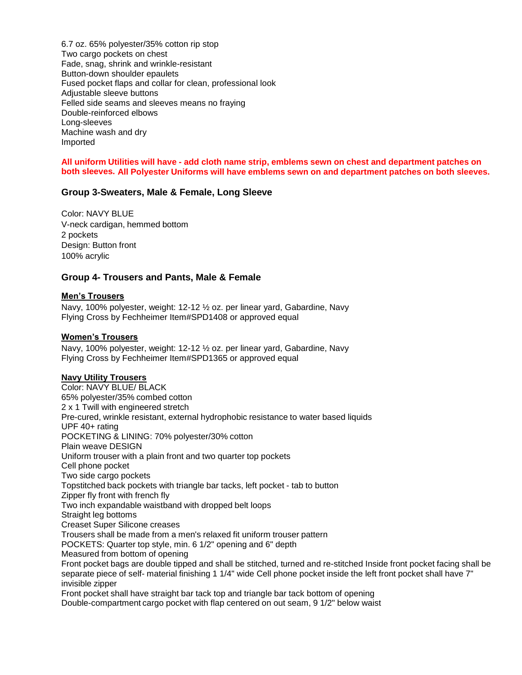6.7 oz. 65% polyester/35% cotton rip stop Two cargo pockets on chest Fade, snag, shrink and wrinkle-resistant Button-down shoulder epaulets Fused pocket flaps and collar for clean, professional look Adjustable sleeve buttons Felled side seams and sleeves means no fraying Double-reinforced elbows Long-sleeves Machine wash and dry Imported

All uniform Utilities will have - add cloth name strip, emblems sewn on chest and department patches on **both sleeves. All Polyester Uniforms will have emblems sewn on and department patches on both sleeves.**

# **Group 3-Sweaters, Male & Female, Long Sleeve**

Color: NAVY BLUE V-neck cardigan, hemmed bottom 2 pockets Design: Button front 100% acrylic

## **Group 4- Trousers and Pants, Male & Female**

## **Men's Trousers**

Navy, 100% polyester, weight: 12-12 ½ oz. per linear yard, Gabardine, Navy Flying Cross by Fechheimer Item#SPD1408 or approved equal

### **Women's Trousers**

Navy, 100% polyester, weight: 12-12 ½ oz. per linear yard, Gabardine, Navy Flying Cross by Fechheimer Item#SPD1365 or approved equal

## **Navy Utility Trousers**

Color: NAVY BLUE/ BLACK 65% polyester/35% combed cotton 2 x 1 Twill with engineered stretch Pre-cured, wrinkle resistant, external hydrophobic resistance to water based liquids UPF 40+ rating POCKETING & LINING: 70% polyester/30% cotton Plain weave DESIGN Uniform trouser with a plain front and two quarter top pockets Cell phone pocket Two side cargo pockets Topstitched back pockets with triangle bar tacks, left pocket - tab to button Zipper fly front with french fly Two inch expandable waistband with dropped belt loops Straight leg bottoms Creaset Super Silicone creases Trousers shall be made from a men's relaxed fit uniform trouser pattern POCKETS: Quarter top style, min. 6 1/2" opening and 6" depth Measured from bottom of opening Front pocket bags are double tipped and shall be stitched, turned and re-stitched Inside front pocket facing shall be separate piece of self- material finishing 1 1/4" wide Cell phone pocket inside the left front pocket shall have 7" invisible zipper Front pocket shall have straight bar tack top and triangle bar tack bottom of opening

Double-compartment cargo pocket with flap centered on out seam, 9 1/2" below waist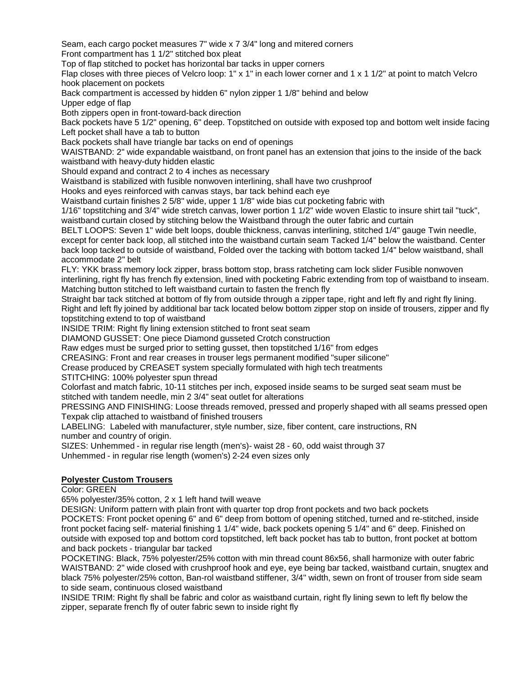Seam, each cargo pocket measures 7" wide x 7 3/4" long and mitered corners Front compartment has 1 1/2" stitched box pleat

Top of flap stitched to pocket has horizontal bar tacks in upper corners

Flap closes with three pieces of Velcro loop: 1" x 1" in each lower corner and 1 x 1 1/2" at point to match Velcro hook placement on pockets

Back compartment is accessed by hidden 6" nylon zipper 1 1/8" behind and below

Upper edge of flap

Both zippers open in front-toward-back direction

Back pockets have 5 1/2" opening, 6" deep. Topstitched on outside with exposed top and bottom welt inside facing Left pocket shall have a tab to button

Back pockets shall have triangle bar tacks on end of openings

WAISTBAND: 2" wide expandable waistband, on front panel has an extension that joins to the inside of the back waistband with heavy-duty hidden elastic

Should expand and contract 2 to 4 inches as necessary

Waistband is stabilized with fusible nonwoven interlining, shall have two crushproof

Hooks and eyes reinforced with canvas stays, bar tack behind each eye

Waistband curtain finishes 2 5/8" wide, upper 1 1/8" wide bias cut pocketing fabric with

1/16" topstitching and 3/4" wide stretch canvas, lower portion 1 1/2" wide woven Elastic to insure shirt tail "tuck", waistband curtain closed by stitching below the Waistband through the outer fabric and curtain

BELT LOOPS: Seven 1" wide belt loops, double thickness, canvas interlining, stitched 1/4" gauge Twin needle, except for center back loop, all stitched into the waistband curtain seam Tacked 1/4" below the waistband. Center back loop tacked to outside of waistband, Folded over the tacking with bottom tacked 1/4" below waistband, shall accommodate 2" belt

FLY: YKK brass memory lock zipper, brass bottom stop, brass ratcheting cam lock slider Fusible nonwoven interlining, right fly has french fly extension, lined with pocketing Fabric extending from top of waistband to inseam. Matching button stitched to left waistband curtain to fasten the french fly

Straight bar tack stitched at bottom of fly from outside through a zipper tape, right and left fly and right fly lining. Right and left fly joined by additional bar tack located below bottom zipper stop on inside of trousers, zipper and fly topstitching extend to top of waistband

INSIDE TRIM: Right fly lining extension stitched to front seat seam

DIAMOND GUSSET: One piece Diamond gusseted Crotch construction

Raw edges must be surged prior to setting gusset, then topstitched 1/16" from edges

CREASING: Front and rear creases in trouser legs permanent modified "super silicone"

Crease produced by CREASET system specially formulated with high tech treatments

STITCHING: 100% polyester spun thread

Colorfast and match fabric, 10-11 stitches per inch, exposed inside seams to be surged seat seam must be stitched with tandem needle, min 2 3/4" seat outlet for alterations

PRESSING AND FINISHING: Loose threads removed, pressed and properly shaped with all seams pressed open Texpak clip attached to waistband of finished trousers

LABELING: Labeled with manufacturer, style number, size, fiber content, care instructions, RN number and country of origin.

SIZES: Unhemmed - in regular rise length (men's)- waist 28 - 60, odd waist through 37

Unhemmed - in regular rise length (women's) 2-24 even sizes only

# **Polyester Custom Trousers**

Color: GREEN

65% polyester/35% cotton, 2 x 1 left hand twill weave

DESIGN: Uniform pattern with plain front with quarter top drop front pockets and two back pockets POCKETS: Front pocket opening 6" and 6" deep from bottom of opening stitched, turned and re-stitched, inside front pocket facing self- material finishing 1 1/4" wide, back pockets opening 5 1/4" and 6" deep. Finished on outside with exposed top and bottom cord topstitched, left back pocket has tab to button, front pocket at bottom and back pockets - triangular bar tacked

POCKETING: Black, 75% polyester/25% cotton with min thread count 86x56, shall harmonize with outer fabric WAISTBAND: 2" wide closed with crushproof hook and eye, eye being bar tacked, waistband curtain, snugtex and black 75% polyester/25% cotton, Ban-rol waistband stiffener, 3/4" width, sewn on front of trouser from side seam to side seam, continuous closed waistband

INSIDE TRIM: Right fly shall be fabric and color as waistband curtain, right fly lining sewn to left fly below the zipper, separate french fly of outer fabric sewn to inside right fly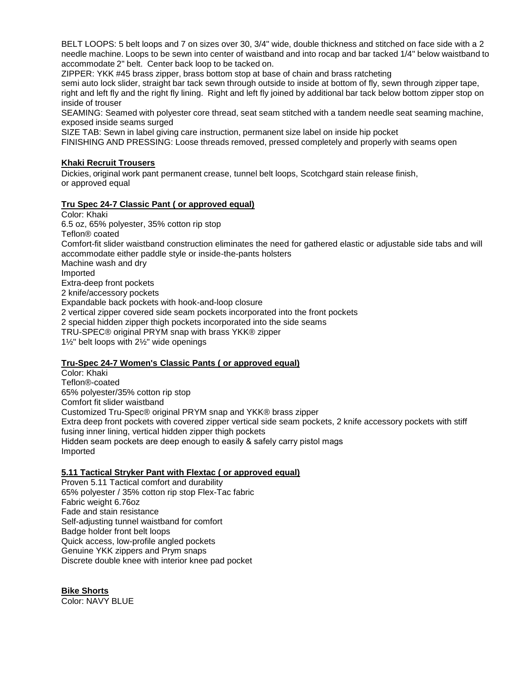BELT LOOPS: 5 belt loops and 7 on sizes over 30, 3/4" wide, double thickness and stitched on face side with a 2 needle machine. Loops to be sewn into center of waistband and into rocap and bar tacked 1/4" below waistband to accommodate 2" belt. Center back loop to be tacked on.

ZIPPER: YKK #45 brass zipper, brass bottom stop at base of chain and brass ratcheting

semi auto lock slider, straight bar tack sewn through outside to inside at bottom of fly, sewn through zipper tape, right and left fly and the right fly lining. Right and left fly joined by additional bar tack below bottom zipper stop on inside of trouser

SEAMING: Seamed with polyester core thread, seat seam stitched with a tandem needle seat seaming machine, exposed inside seams surged

SIZE TAB: Sewn in label giving care instruction, permanent size label on inside hip pocket

FINISHING AND PRESSING: Loose threads removed, pressed completely and properly with seams open

## **Khaki Recruit Trousers**

Dickies, original work pant permanent crease, tunnel belt loops, Scotchgard stain release finish, or approved equal

## **Tru Spec 24-7 Classic Pant ( or approved equal)**

Color: Khaki 6.5 oz, 65% polyester, 35% cotton rip stop Teflon® coated Comfort-fit slider waistband construction eliminates the need for gathered elastic or adjustable side tabs and will accommodate either paddle style or inside-the-pants holsters Machine wash and dry Imported Extra-deep front pockets 2 knife/accessory pockets Expandable back pockets with hook-and-loop closure 2 vertical zipper covered side seam pockets incorporated into the front pockets 2 special hidden zipper thigh pockets incorporated into the side seams TRU-SPEC® original PRYM snap with brass YKK® zipper 1½" belt loops with 2½" wide openings

# **Tru-Spec 24-7 Women's Classic Pants ( or approved equal)**

Color: Khaki Teflon®-coated 65% polyester/35% cotton rip stop Comfort fit slider waistband Customized Tru-Spec® original PRYM snap and YKK® brass zipper Extra deep front pockets with covered zipper vertical side seam pockets, 2 knife accessory pockets with stiff fusing inner lining, vertical hidden zipper thigh pockets Hidden seam pockets are deep enough to easily & safely carry pistol mags Imported

## **5.11 Tactical Stryker Pant with Flextac ( or approved equal)**

Proven 5.11 Tactical comfort and durability 65% polyester / 35% cotton rip stop Flex-Tac fabric Fabric weight 6.76oz Fade and stain resistance Self-adjusting tunnel waistband for comfort Badge holder front belt loops Quick access, low-profile angled pockets Genuine YKK zippers and Prym snaps Discrete double knee with interior knee pad pocket

**Bike Shorts** Color: NAVY BLUE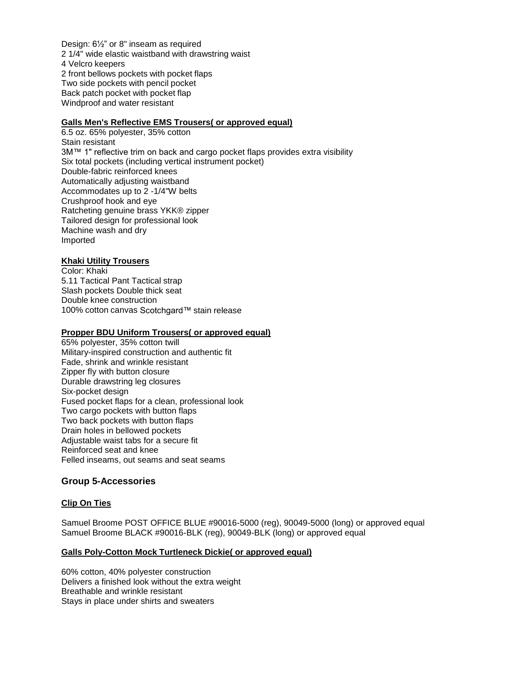Design: 6½" or 8" inseam as required 2 1/4" wide elastic waistband with drawstring waist 4 Velcro keepers 2 front bellows pockets with pocket flaps Two side pockets with pencil pocket Back patch pocket with pocket flap Windproof and water resistant

# **Galls Men's Reflective EMS Trousers( or approved equal)**

6.5 oz. 65% polyester, 35% cotton Stain resistant 3M™ 1" reflective trim on back and cargo pocket flaps provides extra visibility Six total pockets (including vertical instrument pocket) Double-fabric reinforced knees Automatically adjusting waistband Accommodates up to 2 -1/4"W belts Crushproof hook and eye Ratcheting genuine brass YKK® zipper Tailored design for professional look Machine wash and dry Imported

## **Khaki Utility Trousers**

Color: Khaki 5.11 Tactical Pant Tactical strap Slash pockets Double thick seat Double knee construction 100% cotton canvas Scotchgard™ stain release

## **Propper BDU Uniform Trousers( or approved equal)**

65% polyester, 35% cotton twill Military-inspired construction and authentic fit Fade, shrink and wrinkle resistant Zipper fly with button closure Durable drawstring leg closures Six-pocket design Fused pocket flaps for a clean, professional look Two cargo pockets with button flaps Two back pockets with button flaps Drain holes in bellowed pockets Adjustable waist tabs for a secure fit Reinforced seat and knee Felled inseams, out seams and seat seams

# **Group 5-Accessories**

# **Clip On Ties**

Samuel Broome POST OFFICE BLUE #90016-5000 (reg), 90049-5000 (long) or approved equal Samuel Broome BLACK #90016-BLK (reg), 90049-BLK (long) or approved equal

## **Galls Poly-Cotton Mock Turtleneck Dickie( or approved equal)**

60% cotton, 40% polyester construction Delivers a finished look without the extra weight Breathable and wrinkle resistant Stays in place under shirts and sweaters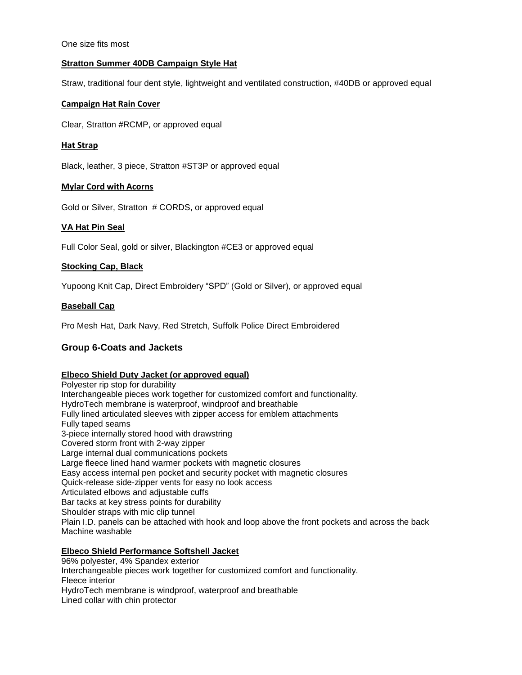One size fits most

## **Stratton Summer 40DB Campaign Style Hat**

Straw, traditional four dent style, lightweight and ventilated construction, #40DB or approved equal

## **Campaign Hat Rain Cover**

Clear, Stratton #RCMP, or approved equal

## **Hat Strap**

Black, leather, 3 piece, Stratton #ST3P or approved equal

## **Mylar Cord with Acorns**

Gold or Silver, Stratton # CORDS, or approved equal

# **VA Hat Pin Seal**

Full Color Seal, gold or silver, Blackington #CE3 or approved equal

# **Stocking Cap, Black**

Yupoong Knit Cap, Direct Embroidery "SPD" (Gold or Silver), or approved equal

## **Baseball Cap**

Pro Mesh Hat, Dark Navy, Red Stretch, Suffolk Police Direct Embroidered

# **Group 6-Coats and Jackets**

## **Elbeco Shield Duty Jacket (or approved equal)**

Polyester rip stop for durability Interchangeable pieces work together for customized comfort and functionality. HydroTech membrane is waterproof, windproof and breathable Fully lined articulated sleeves with zipper access for emblem attachments Fully taped seams 3-piece internally stored hood with drawstring Covered storm front with 2-way zipper Large internal dual communications pockets Large fleece lined hand warmer pockets with magnetic closures Easy access internal pen pocket and security pocket with magnetic closures Quick-release side-zipper vents for easy no look access Articulated elbows and adjustable cuffs Bar tacks at key stress points for durability Shoulder straps with mic clip tunnel Plain I.D. panels can be attached with hook and loop above the front pockets and across the back Machine washable

## **Elbeco Shield Performance Softshell Jacket**

96% polyester, 4% Spandex exterior Interchangeable pieces work together for customized comfort and functionality. Fleece interior HydroTech membrane is windproof, waterproof and breathable Lined collar with chin protector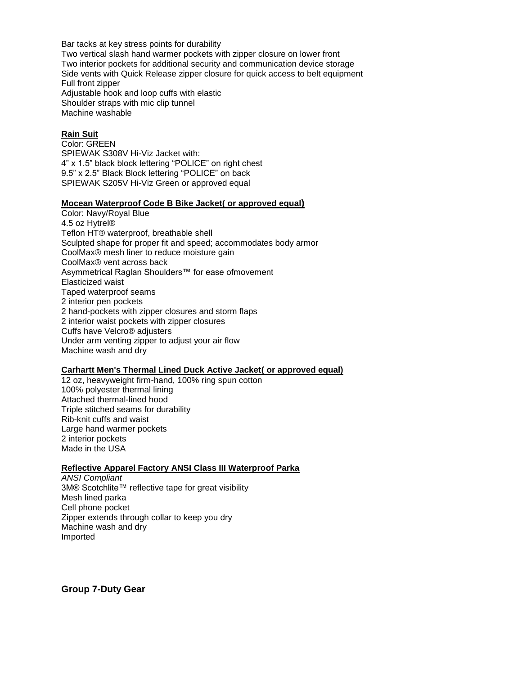Bar tacks at key stress points for durability Two vertical slash hand warmer pockets with zipper closure on lower front Two interior pockets for additional security and communication device storage Side vents with Quick Release zipper closure for quick access to belt equipment Full front zipper Adjustable hook and loop cuffs with elastic Shoulder straps with mic clip tunnel Machine washable

### **Rain Suit**

Color: GREEN SPIEWAK S308V Hi-Viz Jacket with: 4" x 1.5" black block lettering "POLICE" on right chest 9.5" x 2.5" Black Block lettering "POLICE" on back SPIEWAK S205V Hi-Viz Green or approved equal

#### **Mocean Waterproof Code B Bike Jacket( or approved equal)**

Color: Navy/Royal Blue 4.5 oz Hytrel® Teflon HT® waterproof, breathable shell Sculpted shape for proper fit and speed; accommodates body armor CoolMax® mesh liner to reduce moisture gain CoolMax® vent across back Asymmetrical Raglan Shoulders™ for ease ofmovement Elasticized waist Taped waterproof seams 2 interior pen pockets 2 hand-pockets with zipper closures and storm flaps 2 interior waist pockets with zipper closures Cuffs have Velcro® adjusters Under arm venting zipper to adjust your air flow Machine wash and dry

## **Carhartt Men's Thermal Lined Duck Active Jacket( or approved equal)**

12 oz, heavyweight firm-hand, 100% ring spun cotton 100% polyester thermal lining Attached thermal-lined hood Triple stitched seams for durability Rib-knit cuffs and waist Large hand warmer pockets 2 interior pockets Made in the USA

#### **Reflective Apparel Factory ANSI Class III Waterproof Parka**

*ANSI Compliant* 3M® Scotchlite™ reflective tape for great visibility Mesh lined parka Cell phone pocket Zipper extends through collar to keep you dry Machine wash and dry Imported

**Group 7-Duty Gear**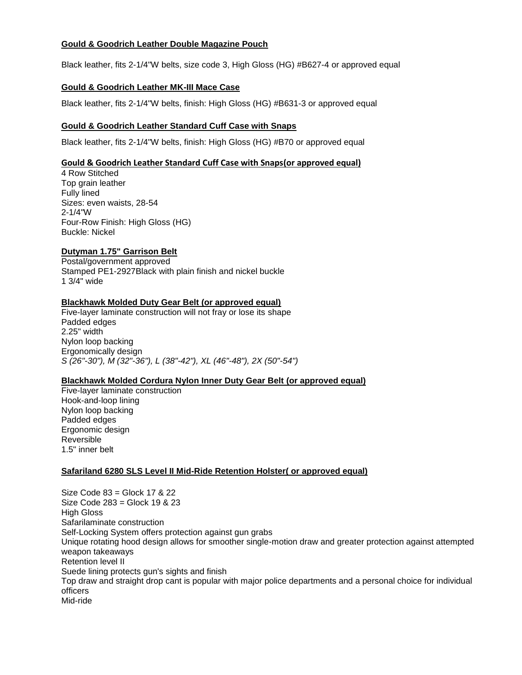## **Gould & Goodrich Leather Double Magazine Pouch**

Black leather, fits 2-1/4"W belts, size code 3, High Gloss (HG) #B627-4 or approved equal

## **Gould & Goodrich Leather MK-III Mace Case**

Black leather, fits 2-1/4"W belts, finish: High Gloss (HG) #B631-3 or approved equal

## **Gould & Goodrich Leather Standard Cuff Case with Snaps**

Black leather, fits 2-1/4"W belts, finish: High Gloss (HG) #B70 or approved equal

## **Gould & Goodrich Leather Standard Cuff Case with Snaps(or approved equal)**

4 Row Stitched Top grain leather Fully lined Sizes: even waists, 28-54 2-1/4"W Four-Row Finish: High Gloss (HG) Buckle: Nickel

## **Dutyman 1.75" Garrison Belt**

Postal/government approved Stamped PE1-2927Black with plain finish and nickel buckle 1 3/4" wide

## **Blackhawk Molded Duty Gear Belt (or approved equal)**

Five-layer laminate construction will not fray or lose its shape Padded edges 2.25" width Nylon loop backing Ergonomically design *S (26"-30"), M (32"-36"), L (38"-42"), XL (46"-48"), 2X (50"-54")*

## **Blackhawk Molded Cordura Nylon Inner Duty Gear Belt (or approved equal)**

Five-layer laminate construction Hook-and-loop lining Nylon loop backing Padded edges Ergonomic design Reversible 1.5" inner belt

## **Safariland 6280 SLS Level II Mid-Ride Retention Holster( or approved equal)**

Size Code 83 = Glock 17 & 22 Size Code 283 = Glock 19 & 23 High Gloss Safarilaminate construction Self-Locking System offers protection against gun grabs Unique rotating hood design allows for smoother single-motion draw and greater protection against attempted weapon takeaways Retention level II Suede lining protects gun's sights and finish Top draw and straight drop cant is popular with major police departments and a personal choice for individual officers Mid-ride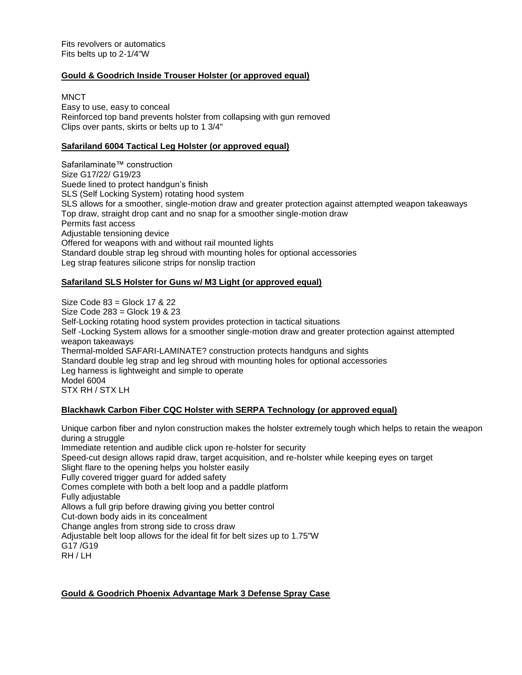## **Gould & Goodrich Inside Trouser Holster (or approved equal)**

**MNCT** 

Easy to use, easy to conceal Reinforced top band prevents holster from collapsing with gun removed Clips over pants, skirts or belts up to 1 3/4"

## **Safariland 6004 Tactical Leg Holster (or approved equal)**

Safarilaminate<sup>™</sup> construction Size G17/22/ G19/23 Suede lined to protect handgun's finish SLS (Self Locking System) rotating hood system SLS allows for a smoother, single-motion draw and greater protection against attempted weapon takeaways Top draw, straight drop cant and no snap for a smoother single-motion draw Permits fast access Adjustable tensioning device Offered for weapons with and without rail mounted lights Standard double strap leg shroud with mounting holes for optional accessories Leg strap features silicone strips for nonslip traction

## **Safariland SLS Holster for Guns w/ M3 Light (or approved equal)**

 Size Code 83 = Glock 17 & 22 Size Code 283 = Glock 19 & 23 Self-Locking rotating hood system provides protection in tactical situations Self -Locking System allows for a smoother single-motion draw and greater protection against attempted weapon takeaways Thermal-molded SAFARI-LAMINATE? construction protects handguns and sights Standard double leg strap and leg shroud with mounting holes for optional accessories Leg harness is lightweight and simple to operate Model 6004 STX RH / STX LH

# **Blackhawk Carbon Fiber CQC Holster with SERPA Technology (or approved equal)**

Unique carbon fiber and nylon construction makes the holster extremely tough which helps to retain the weapon during a struggle Immediate retention and audible click upon re-holster for security Speed-cut design allows rapid draw, target acquisition, and re-holster while keeping eyes on target Slight flare to the opening helps you holster easily Fully covered trigger guard for added safety Comes complete with both a belt loop and a paddle platform Fully adjustable Allows a full grip before drawing giving you better control Cut-down body aids in its concealment Change angles from strong side to cross draw Adjustable belt loop allows for the ideal fit for belt sizes up to 1.75"W G17 /G19 RH / LH

# **Gould & Goodrich Phoenix Advantage Mark 3 Defense Spray Case**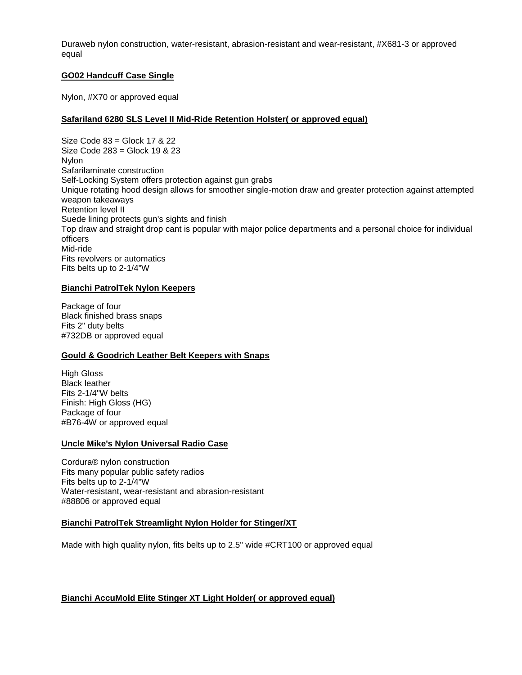Duraweb nylon construction, water-resistant, abrasion-resistant and wear-resistant, #X681-3 or approved equal

## **GO02 Handcuff Case Single**

Nylon, #X70 or approved equal

## **Safariland 6280 SLS Level II Mid-Ride Retention Holster( or approved equal)**

Size Code 83 = Glock 17 & 22 Size Code 283 = Glock 19 & 23 Nylon Safarilaminate construction Self-Locking System offers protection against gun grabs Unique rotating hood design allows for smoother single-motion draw and greater protection against attempted weapon takeaways Retention level II Suede lining protects gun's sights and finish Top draw and straight drop cant is popular with major police departments and a personal choice for individual officers Mid-ride Fits revolvers or automatics Fits belts up to 2-1/4"W

## **Bianchi PatrolTek Nylon Keepers**

Package of four Black finished brass snaps Fits 2" duty belts #732DB or approved equal

## **Gould & Goodrich Leather Belt Keepers with Snaps**

High Gloss Black leather Fits 2-1/4"W belts Finish: High Gloss (HG) Package of four #B76-4W or approved equal

## **Uncle Mike's Nylon Universal Radio Case**

Cordura® nylon construction Fits many popular public safety radios Fits belts up to 2-1/4"W Water-resistant, wear-resistant and abrasion-resistant #88806 or approved equal

## **Bianchi PatrolTek Streamlight Nylon Holder for Stinger/XT**

Made with high quality nylon, fits belts up to 2.5" wide #CRT100 or approved equal

# **Bianchi AccuMold Elite Stinger XT Light Holder( or approved equal)**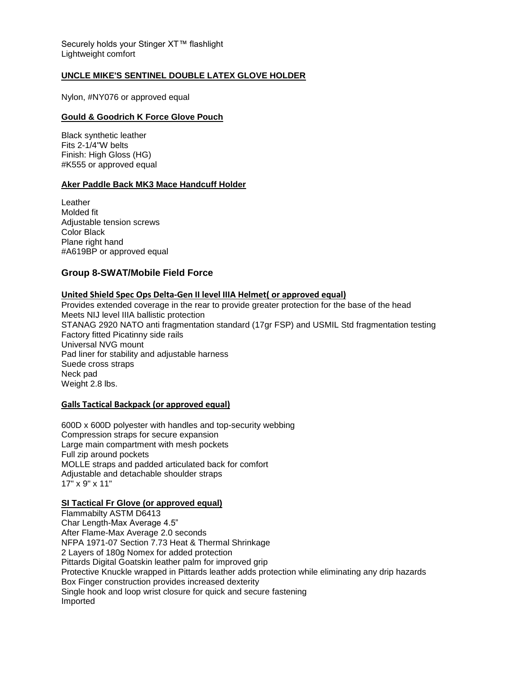Securely holds your Stinger XT™ flashlight Lightweight comfort

## **UNCLE MIKE'S SENTINEL DOUBLE LATEX GLOVE HOLDER**

Nylon, #NY076 or approved equal

## **Gould & Goodrich K Force Glove Pouch**

Black synthetic leather Fits 2-1/4"W belts Finish: High Gloss (HG) #K555 or approved equal

## **Aker Paddle Back MK3 Mace Handcuff Holder**

**Leather** Molded fit Adjustable tension screws Color Black Plane right hand #A619BP or approved equal

# **Group 8-SWAT/Mobile Field Force**

## **United Shield Spec Ops Delta-Gen II level IIIA Helmet( or approved equal)**

Provides extended coverage in the rear to provide greater protection for the base of the head Meets NIJ level IIIA ballistic protection STANAG 2920 NATO anti fragmentation standard (17gr FSP) and USMIL Std fragmentation testing Factory fitted Picatinny side rails Universal NVG mount Pad liner for stability and adjustable harness Suede cross straps Neck pad Weight 2.8 lbs.

## **Galls Tactical Backpack (or approved equal)**

600D x 600D polyester with handles and top-security webbing Compression straps for secure expansion Large main compartment with mesh pockets Full zip around pockets MOLLE straps and padded articulated back for comfort Adjustable and detachable shoulder straps 17" x 9" x 11"

## **SI Tactical Fr Glove (or approved equal)**

Flammabilty ASTM D6413 Char Length-Max Average 4.5" After Flame-Max Average 2.0 seconds NFPA 1971-07 Section 7.73 Heat & Thermal Shrinkage 2 Layers of 180g Nomex for added protection Pittards Digital Goatskin leather palm for improved grip Protective Knuckle wrapped in Pittards leather adds protection while eliminating any drip hazards Box Finger construction provides increased dexterity Single hook and loop wrist closure for quick and secure fastening Imported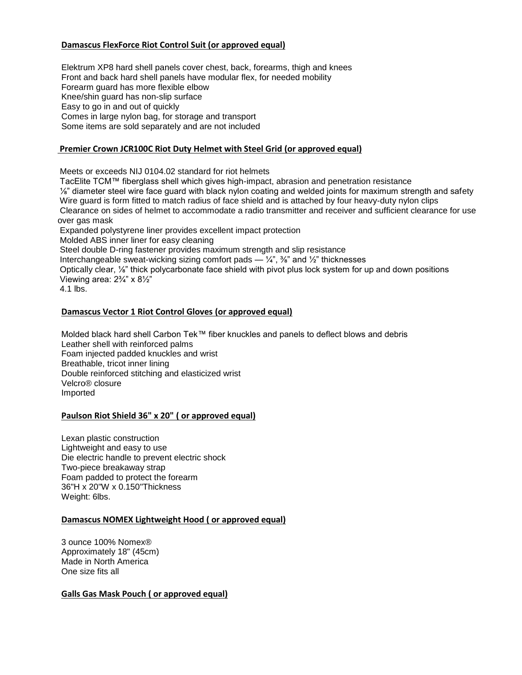# **Damascus FlexForce Riot Control Suit (or approved equal)**

Elektrum XP8 hard shell panels cover chest, back, forearms, thigh and knees Front and back hard shell panels have modular flex, for needed mobility Forearm guard has more flexible elbow Knee/shin guard has non-slip surface Easy to go in and out of quickly Comes in large nylon bag, for storage and transport Some items are sold separately and are not included

## **Premier Crown JCR100C Riot Duty Helmet with Steel Grid (or approved equal)**

Meets or exceeds NIJ 0104.02 standard for riot helmets

TacElite TCM™ fiberglass shell which gives high-impact, abrasion and penetration resistance ⅛" diameter steel wire face guard with black nylon coating and welded joints for maximum strength and safety Wire guard is form fitted to match radius of face shield and is attached by four heavy-duty nylon clips Clearance on sides of helmet to accommodate a radio transmitter and receiver and sufficient clearance for use over gas mask Expanded polystyrene liner provides excellent impact protection Molded ABS inner liner for easy cleaning Steel double D-ring fastener provides maximum strength and slip resistance Interchangeable sweat-wicking sizing comfort pads  $\frac{1}{4}$ ,  $\frac{3}{8}$  and  $\frac{1}{2}$  thicknesses

Optically clear, ⅛" thick polycarbonate face shield with pivot plus lock system for up and down positions Viewing area:  $2\frac{3}{4}$ " x  $8\frac{1}{2}$ "

4.1 lbs.

## **Damascus Vector 1 Riot Control Gloves (or approved equal)**

Molded black hard shell Carbon Tek™ fiber knuckles and panels to deflect blows and debris Leather shell with reinforced palms Foam injected padded knuckles and wrist Breathable, tricot inner lining Double reinforced stitching and elasticized wrist Velcro® closure Imported

# **Paulson Riot Shield 36" x 20" ( or approved equal)**

Lexan plastic construction Lightweight and easy to use Die electric handle to prevent electric shock Two-piece breakaway strap Foam padded to protect the forearm 36"H x 20"W x 0.150"Thickness Weight: 6lbs.

## **Damascus NOMEX Lightweight Hood ( or approved equal)**

3 ounce 100% Nomex® Approximately 18" (45cm) Made in North America One size fits all

## **Galls Gas Mask Pouch ( or approved equal)**